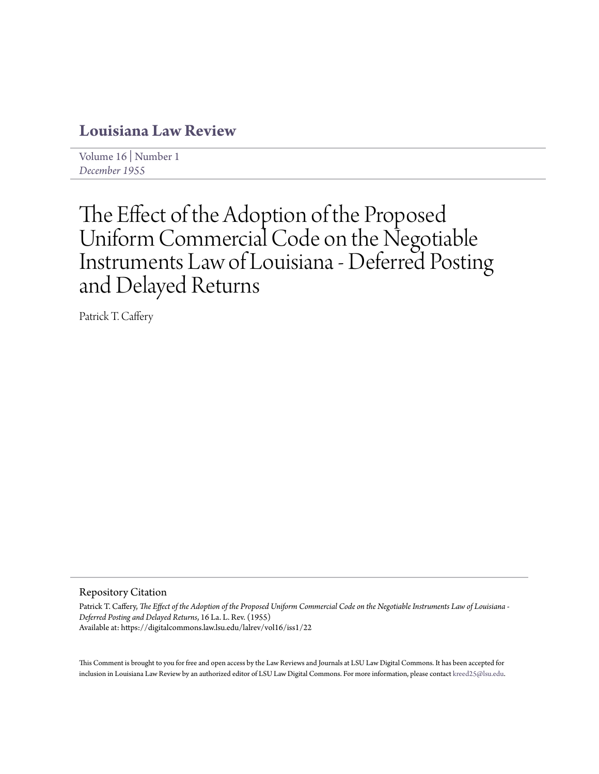## **[Louisiana Law Review](https://digitalcommons.law.lsu.edu/lalrev)**

[Volume 16](https://digitalcommons.law.lsu.edu/lalrev/vol16) | [Number 1](https://digitalcommons.law.lsu.edu/lalrev/vol16/iss1) *[December 1955](https://digitalcommons.law.lsu.edu/lalrev/vol16/iss1)*

# The Effect of the Adoption of the Proposed Uniform Commercial Code on the Negotiable Instruments Law of Louisiana - Deferred Posting and Delayed Returns

Patrick T. Caffery

Repository Citation

Patrick T. Caffery, *The Effect of the Adoption of the Proposed Uniform Commercial Code on the Negotiable Instruments Law of Louisiana - Deferred Posting and Delayed Returns*, 16 La. L. Rev. (1955) Available at: https://digitalcommons.law.lsu.edu/lalrev/vol16/iss1/22

This Comment is brought to you for free and open access by the Law Reviews and Journals at LSU Law Digital Commons. It has been accepted for inclusion in Louisiana Law Review by an authorized editor of LSU Law Digital Commons. For more information, please contact [kreed25@lsu.edu](mailto:kreed25@lsu.edu).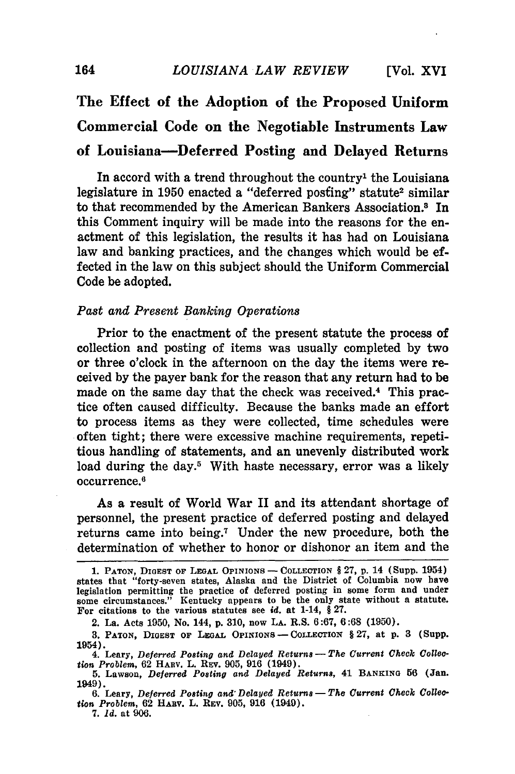# **The Effect of the Adoption of the Proposed Uniform Commercial Code on the Negotiable Instruments Law of Louisiana-Deferred Posting and Delayed Returns**

In accord with a trend throughout the country' the Louisiana legislature in 1950 enacted a "deferred posting" statute<sup>2</sup> similar to that recommended by the American Bankers Association.<sup>8</sup> In this Comment inquiry will be made into the reasons for the enactment of this legislation, the results it has had on Louisiana law and banking practices, and the changes which would be effected in the law on this subject should the Uniform Commercial Code be adopted.

### *Past and Present Banking Operations*

Prior to the enactment of the present statute the process of collection and posting of items was usually completed by two or three o'clock in the afternoon on the day the items were received by the payer bank for the reason that any return had to be made on the same day that the check was received.<sup>4</sup> This practice often caused difficulty. Because the banks made an effort to process items as they were collected, time schedules were often tight; there were excessive machine requirements, repetitious handling of statements, and an unevenly distributed work load during the day.<sup>5</sup> With haste necessary, error was a likely occurrence.6

As a result of World War II and its attendant shortage of personnel, the present practice of deferred posting and delayed returns came into being.7 Under the new procedure, both the determination of whether to honor or dishonor an item and the

<sup>1.</sup> **PATON, DIGEST OF LEGAL OPINIONS - COLLECTION** § **27, p.** 14 (Supp. 1954) states that "forty-seven states, Alaska and the District of Columbia now have legislation permitting the practice of deferred posting in some form and under some circumstances." Kentucky appears to **be** the only state without a statute. For citations to the various statutes see *id.* at 1-14, § **27.**

<sup>2.</sup> La. Acts **1950,** No. 144, **p. 310,** now **LA.** R.S. **6:67, 6:68 (1950).**

<sup>3.</sup> **PATON, DIGEST OF** LEGAL **OPINIONS -** COLLECTION § **27,** at **p.** 3 (Supp. 1954).

<sup>4.</sup> Leary, *Deferred Posting and Delayed Returns* - The Current Check Collec*tion Problem,* 62 HARV. L. REv. 905, 916 (1949).

**<sup>5.</sup>** Lawson, *Deferred Posting and Delayed Returns,* 41 **BANKING** 56 (Jan. 1949).

**<sup>6.</sup>** Leary, *Deferred Posting and'Delayed Returns-The Current Check Collection Problem,* **62** HAuV. L. **REV. 905, 916** (1949).

*<sup>7.</sup> Id.* at **906.**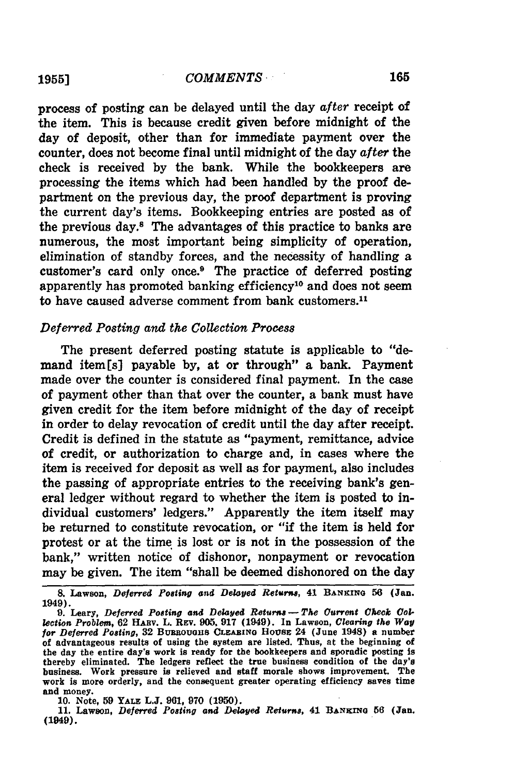process of posting can be delayed until the day *after* receipt of the item. This is because credit given before midnight of the day of deposit, other than for immediate payment over the counter, does not become final until midnight of the day *after* the check is received **by** the bank. While the bookkeepers are processing the items which had been handled **by** the proof department on the previous day, the proof department is proving the current day's items. Bookkeeping entries are posted as of the previous day." The advantages of this practice to banks are numerous, the most important being simplicity of operation, elimination of standby forces, and the necessity of handling a customer's card only once.9 The practice of deferred posting apparently has promoted banking efficiency10 and does not seem to have caused adverse comment from bank customers.<sup>11</sup>

### *Deferred Posting and the Collection Process*

The present deferred posting statute is applicable to "demand item[s] payable **by,** at or through" a bank. Payment made over the counter is considered final payment. In the case of payment other than that over the counter, a bank must have given credit for the item before midnight of the day of receipt in order to delay revocation of credit until the day after receipt. Credit is defined in the statute as "payment, remittance, advice of credit, or authorization to charge and, in cases where the item is received for deposit as well as for payment, also includes the passing of appropriate entries to the receiving bank's general ledger without regard to whether the item is posted to individual customers' ledgers." Apparently the item itself may be returned to constitute revocation, or "if the item is held for protest or at the time is lost or is not in the possession of the bank," written notice of dishonor, nonpayment or revocation may be given. The item "shall be deemed dishonored on the day

**10. Note, 59 YALE L.J. 961, 970 (1950).**

**11. Lawson,** *Deferred Posting and Delayed Returns,* **41 BANKING 56 (Jan. (1949).**

**<sup>&</sup>amp;** Lawson, *Deferred Posting and Delayed Returns,* **41 BANKING 56 (Jan. 1949).**

<sup>9.</sup> Leary, Deferred Posting and Delayed Returns - The Current Check Col*lection Problem,* **62 HABv. L. REv. 905, 917 (1949). In Lawson,** *Clearing the* **Way** *for Deferred Posting,* **32 Buaaouuns CLEARING HousE 24 (June 1948) a number of advantageous results of using the system are listed. Thus, at the beginning of the day the entire day's work is ready for the bookkeepers and sporadic posting is thereby eliminated. The ledgers reflect the true business condition of the day's business. Work pressure is relieved and staff morale shows improvement. The work is more orderly, and the consequent greater operating efficiency saves time and money.**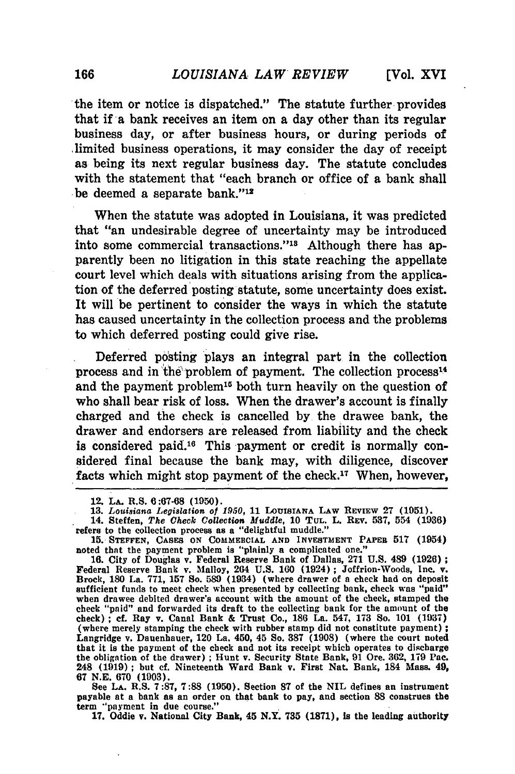the item or notice is dispatched." The statute further provides that if a bank receives an item on a day other than its regular business day, or after business hours, or during periods of limited business operations, it may consider the day of receipt as being its next regular business day. The statute concludes with the statement that "each branch or office of a bank shall be deemed a separate bank."<sup>12</sup>

When the statute was adopted in Louisiana, it was predicted that "an undesirable degree of uncertainty may be introduced into some commercial transactions."<sup>18</sup> Although there has apparently been no litigation in this state reaching the appellate court level which deals with situations arising from the application of the deferred posting statute, some uncertainty does exist. It will be pertinent to consider the ways in which the statute has caused uncertainty in the collection process and the problems to which deferred posting could give rise.

Deferred posting plays an integral part in the collection process and in the problem of payment. The collection process<sup>14</sup> and the payment problem<sup>15</sup> both turn heavily on the question of who shall bear risk of loss. When the drawer's account is finally charged and the check is cancelled by the drawee bank, the drawer and endorsers are released from liability and the check is considered paid.<sup>16</sup> This payment or credit is normally considered final because the bank may, with diligence, discover facts which might stop payment of the check.<sup>17</sup> When, however,

payable at a bank as an order on that bank to pay, and section **88** construes the term "payment in due course." **17.** Oddie v. National City Bank, 45 **N.Y. 735 (1871),** is the leading authority

<sup>12.</sup> **LA.** R.S. **6:67-68 (1950).**

**<sup>13.</sup>** *Louisiana Legislation of* **1950, 11 LOUISIANA LAW REVIEw 27 (1051).**

<sup>14.</sup> Steffen, *The Check Collection Muddle,* **10 TUL.** L. REV. **537,** 554 **(1936)** refers to the collection process as a "delightful muddle."

**<sup>15.</sup> STEFFEN, CASES ON COMMERCIAL AND INVESTMENT PAPER 517** (1954) noted that the payment problem is "plainly a complicated one."

**<sup>16.</sup>** City of Douglas v. Federal Reserve Bank of Dallas, **271 U.S.** 489 **(1926)** Federal Reserve Bank v. Malloy, 264 **U.S. 160** (1924) **;** Joffrion-Woods, Inc. v. Brock, **180** La. **771, 157 So. 589** (1934) (where drawer of a check had on deposit sufficient funds to meet check when presented **by** collecting bank, check was "paid" when drawee debited drawer's account with the amount of the check, stamped **the check "paid"** and forwarded its draft to the collecting bank for the amount of the check); **cf.** Ray v. Canal Bank **&** Trust Co., **186** La. 547, **173** So. **101 (1937) (where** merely stamping the check with rubber stamp did not constitute payment) Langridge v. Dauenhauer, 120 La. 450, 45 So. **387 (1908)** (where the court noted that it is the payment of the check and not its **receipt which operates to discharge** the obligation of the drawer) **;** Hunt v. Security State Bank, **91** Ore. **362, 179** Pac. 248 **(1919) ; but cf.** Nineteenth Ward Bank v. First Nat. Bank, 184 Mass. 49, **67 N.E. 670 (1903).** See **LA.** R.S. **7:87, 7:88 (1950).** Section **87** of the **NIL** defines an instrument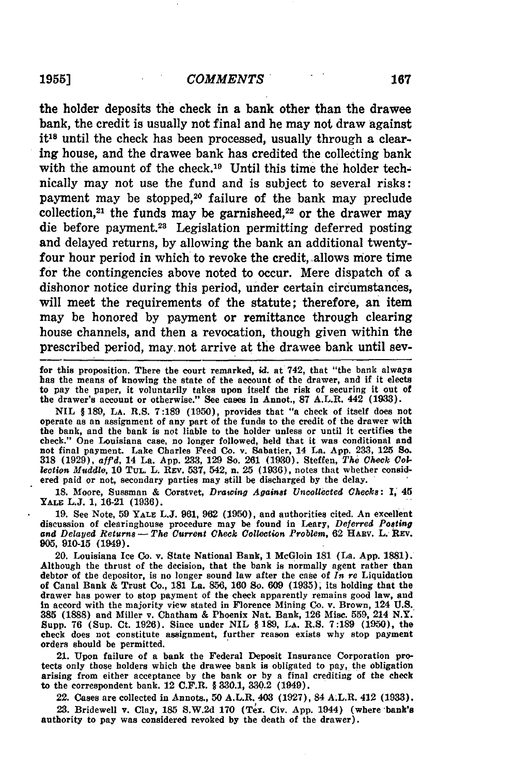the holder deposits the check in a bank other than the drawee bank, the credit is usually not final and he may not draw against it<sup>18</sup> until the check has been processed, usually through a clearing house, and the drawee bank has credited the collecting bank with the amount of the check.<sup>19</sup> Until this time the holder technically may not use the fund and is subject to several risks: payment may be stopped,<sup>20</sup> failure of the bank may preclude collection,<sup>21</sup> the funds may be garnisheed,<sup>22</sup> or the drawer may die before payment.28 Legislation permitting deferred posting and delayed returns, **by** allowing the bank an additional twentyfour hour period in which to revoke the credit, allows more time for the contingencies above noted to occur. Mere dispatch of a dishonor notice during this period, under certain circumstances, will meet the requirements of the statute; therefore, an item may be honored **by** payment or remittance through clearing house channels, and then a revocation, though given within the prescribed period, may. not arrive at the drawee bank until sev-

for this proposition. There the court remarked, *id.* at 742, that "the bank always has the means of knowing the state of the account of the drawer, and if it elects to pay the paper, it voluntarily takes upon itself the risk of securing it out of the drawer's account or otherwise." See cases in Annot., **87** A.L.R. 442 **(1933).**

**NIL** § **189, LA.** R.S. **7:189 (1950),** provides that "a check of itself does not operate as an assignment of any part of the funds to the credit of the drawer with the bank, and the bank is not liable to the holder unless or until it certifies the check." One Louisiana case, no longer followed, held that it was conditional and not final payment. Lake Charles Feed Co. v. Sabatier, 14 La. **App. 233, 125 So. 318 (1929),** *affd,* 14 La. **App. 233, 129 So. 261 (1930).** Steffen, *The Check Collection Muddle,* **10 TUL.** L. REv. **537,** 542, n. 25 **(1936),** notes that whether considered paid or not, secondary parties may still be discharged **by** the delay.

**18.** Moore, Sussman **&** Corstvet, *Drawing Against Uncollected Checks:* **I,** 45 **YALE L.J. 1, 16-21 (1936).**

**19.** See Note, **59 YALE L.J. 961, 962 (1950),** and authorities cited. An excellent discussion of clearinghouse procedure may be found in Leary, *Deferred Posting* and Delayed Returns - The Current Check Collection Problem, 62 HARV. L. REV. **905, 910-15** (1949).

20. Louisiana Ice Co. v. State National Bank, **1** McGloin **181** (La. **App. 1881).** Although the thrust of the decision, that the bank is normally agent rather than debtor of the depositor, is no longer sound law after the case of *In re* Liquidation of Canal Bank **&** Trust Co., **181** La. **856, 160** So. **609 (1935),** its holding that the drawer has power to stop payment of the check apparently remains good law, and in accord with the majority view stated in Florence Mining Co. v. Brown, 124 **U.S.. 385 (1888)** and Miller v. Chatham **&** Phoenix Nat. Bank, **126** Misc. **559,** 214 N.Y. Supp. **76** (Sup. Ct. **1926).** Since under **NIL §189, LA.** R.S. **7:189 (1950),** the check does not constitute assignment, further reason exists why stop payment orders should be permitted.

21. Upon failure of a bank the Federal Deposit Insurance Corporation protects only those holders which the drawee bank is obligated to pay, the obligation arising from either acceptance **by** the bank or **by** a final crediting of the check to the correspondent bank. 12 C.F.R. § **330.1, 330.2** (1949).

22. Cases are collected in Annots., **50** A.L.R. 403 **(1927),** 84 A.L.R. 412 **(1933).**

**23.** Bridewell v. Clay, **185 S.W.2d 170** (Tex. Civ. **App.** 1944) (where bank's authority to pay was considered revoked **by** the death of the drawer).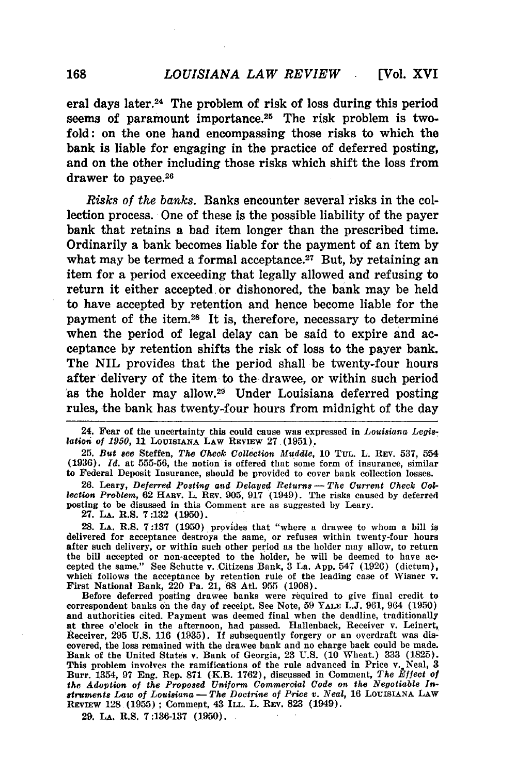eral days later.24 The problem of risk of loss during this period seems of paramount importance.<sup>25</sup> The risk problem is twofold: on the one hand encompassing those risks to which the bank is liable for engaging in the practice of deferred posting, and on the other including those risks which shift the loss from drawer to payee.<sup>26</sup>

*Risks of the banks.* Banks encounter several risks in the collection process. One of these is the possible liability of the payer bank that retains a bad item longer than the prescribed time. Ordinarily a bank becomes liable for the payment of an item by what may be termed a formal acceptance.<sup>27</sup> But, by retaining an item for a period exceeding that legally allowed and refusing to return it either accepted or dishonored, the bank may be held to have accepted by retention and hence become liable for the payment of the item.<sup>28</sup> It is, therefore, necessary to determine when the period of legal delay can be said to expire and acceptance by retention shifts the risk of loss to the payer bank. The NIL provides that the period shall be twenty-four hours after delivery of the item to the drawee, or within such period as the holder may allow.<sup>29</sup> Under Louisiana deferred posting rules, the bank has twenty-four hours from midnight of the day

25. *But see* Steffen, *The Check Collection Muddle,* 10 **TUL.** L. **REV.** 537, 554 (1936). *Id.* at 555-56, the notion is offered that some form of insurance, similar to Federal Deposit Insurance, should be provided to cover bank collection losses.

26. Leary, Deferred Posting and Delayed Returns - The Current Check Col*lection Problem,* 62 HARv. L. REV. **905,** 917 (1949). The risks caused by deferred posting to be disussed in this Comment are as suggested by Leary.

27. **LA.** R.S. **7:132** (1950).

28. **LA.** R.S. 7:137 (1950) provides that "where a drawee to whom a bill is delivered for acceptance destroys the same, or refuses within twenty-four hours after such delivery, or within such other period as the holder may allow, to return the bill accepted or non-accepted to the holder, he will be deemed to have accepted the same." See Schutte v. Citizens Bank, 3 La. App. 547 (1926) (dictum), which follows the acceptance **by** retention rule of the leading case of Wisner v. First National Bank, 220 Pa. 21, 68 Atl. 955 (1908).

Before deferred posting drawee banks were required to give final credit to correspondent banks on the day of receipt. See Note, 59 **YALE L.J.** 961, 964 (1950) and authorities cited. Payment was deemed final when the deadline, traditionally at three o'clock in the afternoon, had passed. Hallenback, Receiver v. Leinert, Receiver, 295 U.S. 116 (1935). **If** subsequently forgery or an overdraft was discovered, the loss remained with the drawee bank and no charge back could be made. Bank of the United States v. Bank of Georgia, 23 U.S. (10 Wheat.) 333 (1825). This problem involves the ramifications of the rule advanced in Price v. Neal, **3** Burr. 1354, 97 Eng. Rep. 871 (K.B. 1762), discussed in Comment, *The Effect of the Adoption of the Proposed Uniform Commercial Code on the Negotiable Instrument8 Law of Louisiana* - *The Doctrine of Price v. Neal,* **16 LOuISIANA LAW** Ravi w 128 **(1955) ;** Comment, 43 **ILL.** L. REV. **823** (1949).

**29. LA.** R.S. **7:136-137 (1950).**

<sup>24.</sup> Fear of the uncertainty this could cause was expressed in *Louisiana Legislation of 1950,* 11 LOUISIANA LAW REVIEW 27 (1951).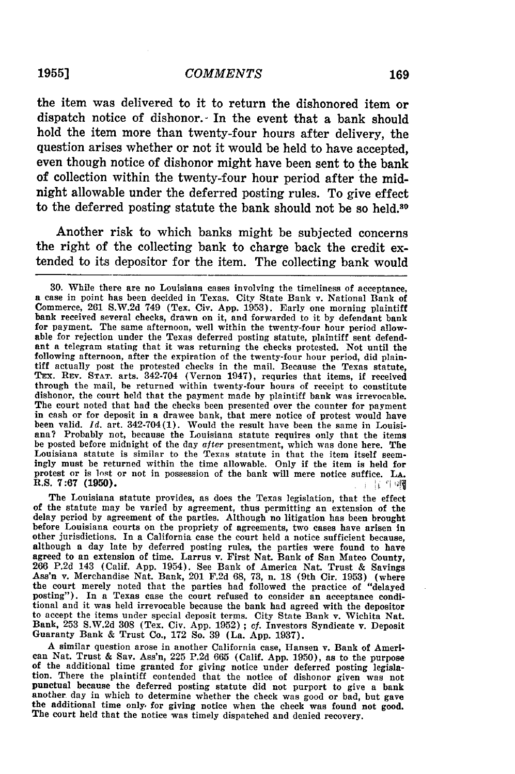### **1955]** *COMMENTS*

the item was delivered to it to return the dishonored item or dispatch notice of dishonor. In the event that a bank should hold the item more than twenty-four hours after delivery, the question arises whether or not it would be held to have accepted, even though notice of dishonor might have been sent to the bank of collection within the twenty-four hour period after the midnight allowable under the deferred posting rules. To give effect to the deferred posting statute the bank should not be so held.<sup>30</sup>

Another risk to which banks might be subjected concerns the right of the collecting bank to charge back the credit extended to its depositor for the item. The collecting bank would

The Louisiana statute provides, as does the Texas legislation, that the effect of the statute may be varied **by** agreement, thus permitting an extension of the delay period **by** agreement of the parties. Although no litigation has been brought before Louisiana courts on the propriety of agreements, two cases have arisen in other jurisdictions. In a California case the court held a notice sufficient because, although a day late **by** deferred posting rules, the parties were found to have agreed to an extension of time. Larrus v. First Nat. Bank of San Mateo County,<br>266 P.2d 143 (Calif. App. 1954). See Bank of America Nat. Trust & Savings<br>Ass'n v. Merchandise Nat. Bank, 201 F.2d 68, 73, n. 18 (9th Cir. 1953 the court merely noted that the parties had followed the practice of "delayed posting"). In a Texas case the court refused to consider an acceptance condiposting"). In a Texas case the court refused to consider an acceptance conditional and it was held irrevocable because the bank had agreed with the depositor to accept the items under special deposit terms. City State Bank v. Wichita Nat. Bank, **253 S.W.2d 308** (Tex. Civ. **App. 1952) ; cf.** Investors Syndicate v. Deposit Guaranty Bank **&** Trust Co., **172** So. **39** (La. **App. 1937).**

A similar question arose in another California case, Hansen v. Bank of American Nat. Trust & Sav. Ass'n, 225 P.2d 665 (Calif. App. 1950), as to the purpose of the additional time granted for giving notice under deferred posting legislation. There the plaintiff contended that the notice of dishonor given was not punctual because the deferred posting statute did not purport to give a bank another day in which to determine whether the check was good or bad, but gave the additional time only for giving notice when the check was found not good. The court held that the notice was timely dispatched and denied re

**<sup>30.</sup>** While there are no Louisiana cases involving the timeliness of acceptance, a case in point has been decided in Texas. City State Bank v. National Bank of Commerce, 261 S.W.2d 749 (Tex. Civ. App. 1953). Early one morning plaintiff bank received several checks, drawn on it, and forwarded to it by defendant bank for payment. The same afternoon, well within the twenty-four hour period allowable for rejection under the Texas deferred posting statute, plaintiff sent defendant a telegram stating that it was returning the checks protested. Not until the following afternoon, after the expiration of the twenty-four hour period, did plain-TEx. REv. **STAT.** arts. 342-704 (Vernon 1947), requries that items, if received through the mail, be returned within twenty-four hours of receipt to constitute dishonor, the court held that the payment made by plaintiff bank was irrevocable. The court noted that had the checks been presented over the counter for payment in cash or for deposit in a drawee bank, that mere notice of protest would have been valid. *Id.* art. 342-704(1). Would the result have been the same in Louisiana? Probably not, because the Louisiana statute requires only that the items be posted before midnight of the day *after* presentment, which was done here. The<br>Louisiana statute is similar to the Texas statute in that the item itself seem-<br>ingly must be returned within the time allowable. Only if t protest or is lost or not in possession of the bank will mere notice suffice. **LA.** R.S. **7:67 (1950).** "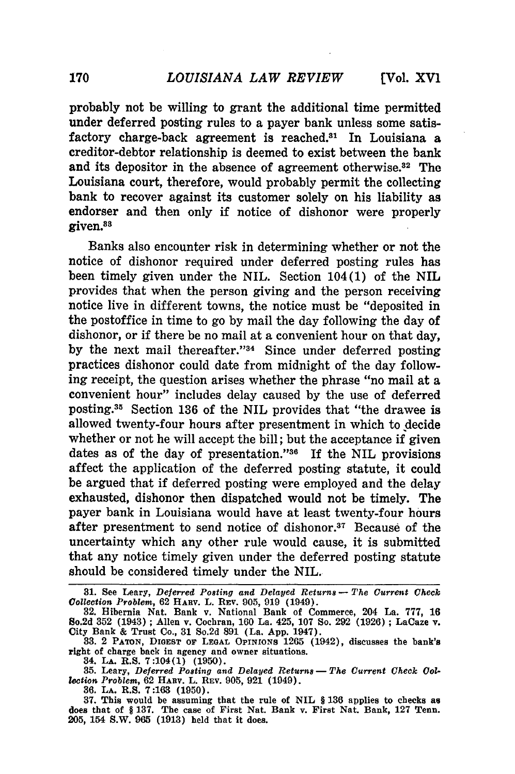probably not be willing to grant the additional time permitted under deferred posting rules to a payer bank unless some satisfactory charge-back agreement is reached.<sup>31</sup> In Louisiana a creditor-debtor relationship is deemed to exist between the bank and its depositor in the absence of agreement otherwise.<sup>32</sup> The Louisiana court, therefore, would probably permit the collecting bank to recover against its customer solely on his liability as endorser and then only if notice of dishonor were properly given.<sup>83</sup>

Banks also encounter risk in determining whether or not the notice of dishonor required under deferred posting rules has been timely given under the NIL. Section 104(1) of the NIL provides that when the person giving and the person receiving notice live in different towns, the notice must be "deposited in the postoffice in time to go by mail the day following the day of dishonor, or if there be no mail at a convenient hour on that day, by the next mail thereafter."<sup>34</sup> Since under deferred posting practices dishonor could date from midnight of the day following receipt, the question arises whether the phrase "no mail at a convenient hour" includes delay caused by the use of deferred posting.35 Section 136 of the NIL provides that "the drawee is allowed twenty-four hours after presentment in which to decide whether or not he will accept the bill; but the acceptance if given dates as of the day of presentation." $36$  If the NIL provisions affect the application of the deferred posting statute, it could be argued that if deferred posting were employed and the delay exhausted, dishonor then dispatched would not be timely. The payer bank in Louisiana would have at least twenty-four hours after presentment to send notice of dishonor.<sup>37</sup> Because of the uncertainty which any other rule would cause, it is submitted that any notice timely given under the deferred posting statute should be considered timely under the NIL.

**36. LA.** R.S. **7:163 (1950).**

**37.** This would be assuming that the rule of NIL § **136** applies to checks as does that of § **137.** The case of First Nat. Bank v. First Nat. Bank, **127** Tenn. **205,** 154 S.W. **965 (1913)** held that it does.

**<sup>31.</sup>** See Leary, *Deferred* **Posting** *and Delayed Returns* **-** *The Current Check Collection Problem,* 62 HARV. L. REv. 905, 919 (1949). **32.** Hibernia Nat. Bank v. National Bank of Commerce, 204 La. 777, **<sup>16</sup>**

So.2d 352 (1943); Allen v. Cochran, 160 La. 425, 107 So. 292 (1926); LaCaze v. City Bank & Trust Co., 31 So.2d 891 (La. App. 1947).<br>33. 2 PATON, DIGEST OF LEGAL OPINIONS 1265 (1942), discusses the bank's

right of charge back in agency and owner situations.

<sup>34.</sup> **LA.** R.S. 7:104(1) **(1950).**

<sup>35.</sup> Leary, Deferred Posting and Delayed Returns - The Current Check Col*lection Problem,* **62 HABV.** L. **REV. 905, 921** (1949).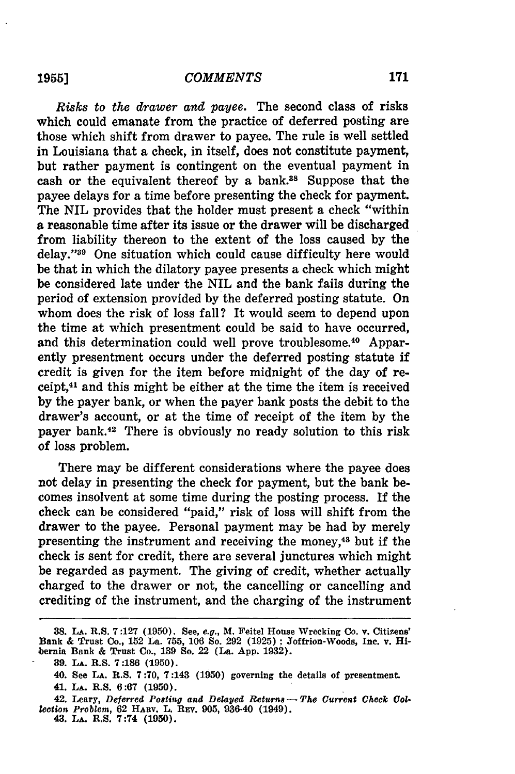*Risks to the drawer and payee.* The second class of risks which could emanate from the practice of deferred posting are those which shift from drawer to payee. The rule is well settled in Louisiana that a check, in itself, does not constitute payment, but rather payment is contingent on the eventual payment in cash or the equivalent thereof by a bank.38 Suppose that the payee delays for a time before presenting the check for payment. The NIL provides that the holder must present a check "within a reasonable time after its issue or the drawer will be discharged from liability thereon to the extent of the loss caused by the delay."39 One situation which could cause difficulty here would be that in which the dilatory payee presents a check which might be considered late under the NIL and the bank fails during the period of extension provided by the deferred posting statute. On whom does the risk of loss fall? It would seem to depend upon the time at which presentment could be said to have occurred, and this determination could well prove troublesome.<sup>40</sup> Apparently presentment occurs under the deferred posting statute if credit is given for the item before midnight of the day of receipt,41 and this might be either at the time the item is received **by** the payer bank, or when the payer bank posts the debit to the drawer's account, or at the time of receipt of the item **by** the payer bank.42 There is obviously no ready solution to this risk of loss problem.

There may be different considerations where the payee does not delay in presenting the check for payment, but the bank becomes insolvent at some time during the posting process. **If** the check can be considered "paid," risk of loss will shift from the drawer to the payee. Personal payment may be had **by** merely presenting the instrument and receiving the money,43 but if the check is sent for credit, there are several junctures which might be regarded as payment. The giving of credit, whether actually charged to the drawer or not, the cancelling or cancelling and crediting of the instrument, and the charging of the instrument

**<sup>38.</sup> LA. R.S. 7:127 (1950).** See, *e.g.,* **M. Feitel House Wrecking Co. v. Citizens' Bank & Trust Co., 152 La. 755, 106 So. 292 (1925) ; Joffrion-Woods, Inc. v. Hibernia Bank & Trust Co., 139 So. 22 (La. App. 1932).**

**<sup>39.</sup> LA. R.S. 7:186 (1950).**

**<sup>40.</sup> See LA. R.S. 7:70, 7:143 (1950) governing the details of presentment.**

**<sup>41.</sup> LA. R.S. 6:67 (1950).**

**<sup>42.</sup> Leary,** *Deferred Posting and Delayed Returns- The Current Check Collection Problem,* **62 HARV. L. REv. 905, 936-40 (1949). 43. LA. R.S. 7:74 (1950).**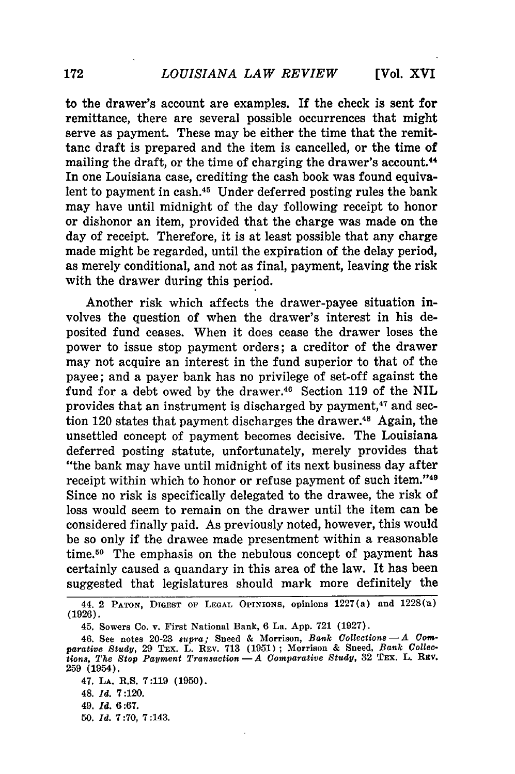to the drawer's account are examples. If the check is sent for remittance, there are several possible occurrences that might serve as payment. These may be either the time that the remittanc draft is prepared and the item is cancelled, or the time of mailing the draft, or the time of charging the drawer's account.<sup>44</sup> In one Louisiana case, crediting the cash book was found equivalent to payment in cash.<sup>45</sup> Under deferred posting rules the bank may have until midnight of the day following receipt to honor or dishonor an item, provided that the charge was made on the day of receipt. Therefore, it is at least possible that any charge made might be regarded, until the expiration of the delay period, as merely conditional, and not as final, payment, leaving the risk with the drawer during this period.

Another risk which affects the drawer-payee situation involves the question of when the drawer's interest in his deposited fund ceases. When it does cease the drawer loses the power to issue stop payment orders; a creditor of the drawer may not acquire an interest in the fund superior to that of the payee; and a payer bank has no privilege of set-off against the fund for a debt owed by the drawer.<sup>46</sup> Section 119 of the NIL provides that an instrument is discharged by payment,<sup>47</sup> and section 120 states that payment discharges the drawer. $48$  Again, the unsettled concept of payment becomes decisive. The Louisiana deferred posting statute, unfortunately, merely provides that "the bank may have until midnight of its next business day after receipt within which to honor or refuse payment of such item."<sup>49</sup> Since no risk is specifically delegated to the drawee, the risk of loss would seem to remain on the drawer until the item can be considered finally paid. As previously noted, however, this would be so only if the drawee made presentment within a reasonable time.50 The emphasis on the nebulous concept of payment has certainly caused a quandary in this area of the law. It has been suggested that legislatures should mark more definitely the

47. LA. R.S. **7:119** (1950). 48. *Id.* 7:120. 49. *Id.* 6:67. **50.** *Id.* 7:70, 7:143.

<sup>44.</sup> **2 PATON,** DIGEST **OF LEGAL** OPINIONS, opinions 1227(a) and 1228(a) (1926).

<sup>45.</sup> Sowers Co. v. First National Bank, 6 La. App. 721 (1927).

<sup>46.</sup> See notes 20-23 *supra;* Sneed & Morrison, *Bank Collections-A Comparative Study,* 29 TEx. L. REV. 713 (1951) **;** Morrison & Sneed, *Bank Collections, The Stop Payment Transaction-A Comparative Study,* **32** TEx. L. **REV.** 259 (1954).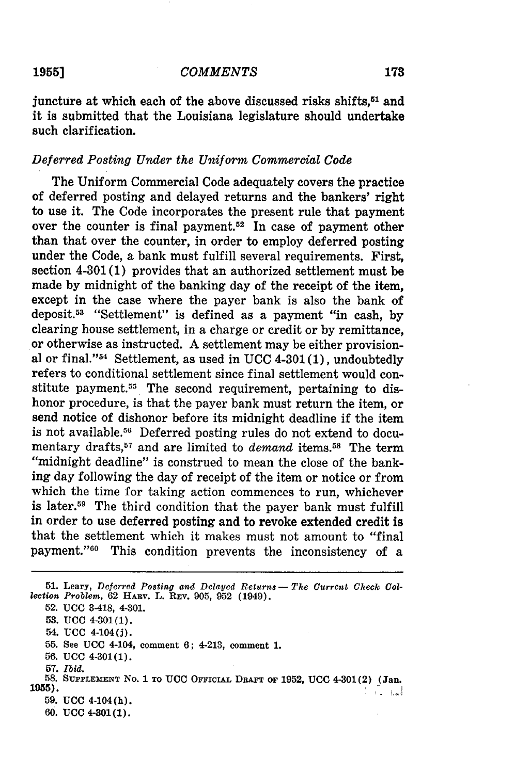### *COMMENTS* **1955] 173**

juncture at which each of the above discussed risks shifts,<sup>51</sup> and it is submitted that the Louisiana legislature should undertake such clarification.

### *Deferred Posting Under the Uniform Commercial Code*

The Uniform Commercial Code adequately covers the practice of deferred posting and delayed returns and the bankers' right to use it. The Code incorporates the present rule that payment over the counter is final payment.<sup>52</sup> In case of payment other than that over the counter, in order to employ deferred posting under the Code, a bank must fulfill several requirements. First, section 4-301 (1) provides that an authorized settlement must be made by midnight of the banking day of the receipt of the item, except in the case where the payer bank is also the bank of deposit.58 "Settlement" is defined as a payment "in cash, by clearing house settlement, in a charge or credit or by remittance, or otherwise as instructed. A settlement may be either provisional or final." $54$  Settlement, as used in UCC 4-301(1), undoubtedly refers to conditional settlement since final settlement would constitute payment.<sup>55</sup> The second requirement, pertaining to dishonor procedure, is that the payer bank must return the item, or send notice of dishonor before its midnight deadline if the item is not available.56 Deferred posting rules do not extend to documentary drafts,57 and are limited to *demand* items.58 The term "midnight deadline" is construed to mean the close of the banking day following the day of receipt of the item or notice or from which the time for taking action commences to run, whichever is later.<sup>59</sup> The third condition that the payer bank must fulfill in order to use deferred posting and to revoke extended credit is that the settlement which it makes must not amount to "final payment."<sup>60</sup> This condition prevents the inconsistency of a

56. **UCC** 4-301(1).

<sup>51.</sup> Leary, Deferred Posting and Delayed Returns - The Current Check Col*lection Problem,* **62 HARV.** L. **REv. 905, 952** (1949).

**<sup>52.</sup> UCC** 3-418, 4-301.

**<sup>53.</sup> UCC** 4-301(1).

<sup>54.</sup> **UCO** 4-104(j).

<sup>55.</sup> **See UCC** 4-104, comment 6; 4-213, comment 1.

**<sup>57.</sup>** *Ibid.*

**<sup>58.</sup> SUPPLEMENT No. 1 TO UCC OFFICIAL DRAFT OF 1952, UCC** 4-301(2) **(Jan. 1955).** أسماحنا 59. **UCC** 4-104(h).

**<sup>60.</sup> UCC 4-301(1).**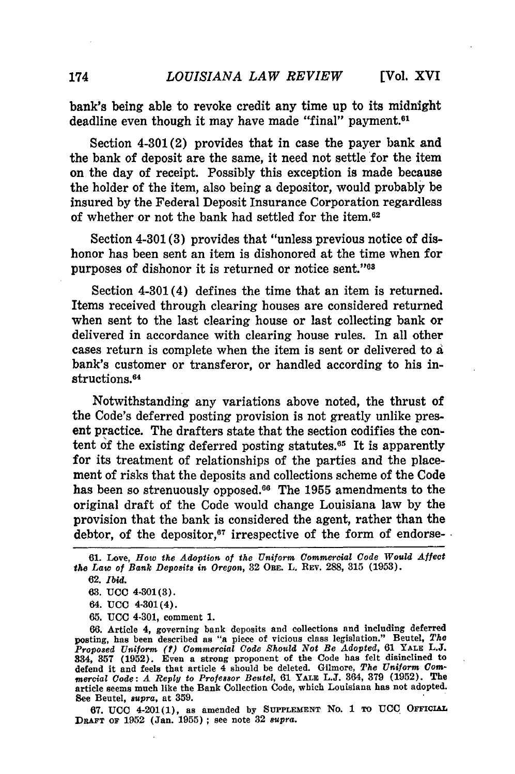bank's being able to revoke credit any time up to its midnight deadline even though it may have made "final" payment.<sup>61</sup>

Section 4-301(2) provides that in case the payer bank and the bank of deposit are the same, it need not settle for the item on the day of receipt. Possibly this exception is made because the holder of the item, also being a depositor, would probably be insured **by** the Federal Deposit Insurance Corporation regardless of whether or not the bank had settled for the item.62

Section 4-301 **(3)** provides that "unless previous notice of dishonor has been sent an item is dishonored at the time when for purposes of dishonor it is returned or notice sent."<sup>68</sup>

Section 4-301 (4) defines the time that an item is returned. Items received through clearing houses are considered returned when sent to the last clearing house or last collecting bank or delivered in accordance with clearing house rules. In all other cases return is complete when the item is sent or delivered to a bank's customer or transferor, or handled according to his instructions. <sup>64</sup>

Notwithstanding any variations above noted, the thrust of the Code's deferred posting provision is not greatly unlike present practice. The drafters state that the section codifies the content of the existing deferred posting statutes.<sup>65</sup> It is apparently for its treatment of relationships of the parties and the placement of risks that the deposits and collections scheme of the Code has been so strenuously opposed.66 The **1955** amendments to the original draft of the Code would change Louisiana law **by** the provision that the bank is considered the agent, rather than the debtor, of the depositor, $67$  irrespective of the form of endorse-

**65. UCC** 4-301, comment **1.**

**66.** Article 4, governing bank deposits and collections and including deferred posting, has been described as "a piece of vicious class legislation." Beutel, *The* Proposed Uniform (?) Commercial Code Should Not Be Adopted, 61 YALE L.J.<br>834, 357 (1952). Even a strong proponent of the Code has felt disinclined to<br>defend it and feels that article 4 should be deleted. Gilmore, The Unifo *mercial Code: A Reply to Professor Beutel,* 61 **YALE L.J.** 364, **379 (1952).** The article seems much like the Bank Collection Code, which Louisiana has not adopted. See Beutel, *supra,* at **359.**

**67. UCC** 4-201(1), as amended **by SUPPLEMENT** No. 1 **TO UCC** OFFICIAL **DaAFT OF 1952** (Jan. **1955) ;** see note **32** *supra.*

**<sup>61.</sup>** Love, *How the Adoption of the Uniform Commercial Code Would Affect the Law of Bank Deposits in Oregon,* **32** ORE. L. REV. **288, 315 (1953).**

<sup>62.</sup> *Ibid.*

**<sup>63.</sup> UCC** 4-301(3).

<sup>64.</sup> **UCC** 4-301(4).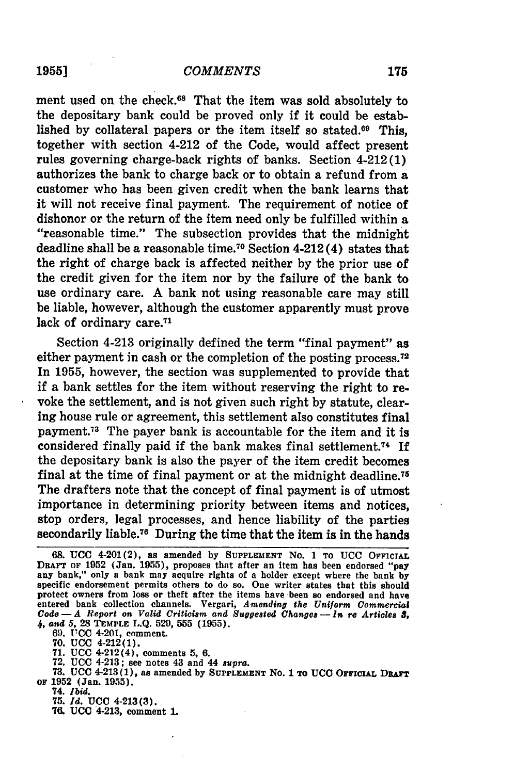### *COMMENTS*

ment used on the check.<sup>68</sup> That the item was sold absolutely to the depositary bank could be proved only if it could be established by collateral papers or the item itself so stated.<sup>69</sup> This, together with section 4-212 of the Code, would affect present rules governing charge-back rights of banks. Section 4-212(1) authorizes the bank to charge back or to obtain a refund from a customer who has been given credit when the bank learns that it will not receive final payment. The requirement of notice of dishonor or the return of the item need only be fulfilled within a "reasonable time." The subsection provides that the midnight deadline shall be a reasonable time.70 Section 4-212 (4) states that the right of charge back is affected neither by the prior use of the credit given for the item nor by the failure of the bank to use ordinary care. A bank not using reasonable care may still be liable, however, although the customer apparently must prove lack of ordinary care.<sup>71</sup>

Section 4-213 originally defined the term "final payment" as either payment in cash or the completion of the posting process.<sup>72</sup> In **1955,** however, the section was supplemented to provide that if a bank settles for the item without reserving the right to revoke the settlement, and is not given such right **by** statute, clearing house rule or agreement, this settlement also constitutes final payment.73 The payer bank is accountable for the item and it is considered finally paid if the bank makes final settlement.74 **If** the depositary bank is also the payer of the item credit becomes final at the time of final payment or at the midnight deadline.75 The drafters note that the concept of final payment is of utmost importance in determining priority between items and notices, stop orders, legal processes, and hence liability of the parties secondarily liable.76 During the time that the item is in the hands

**70. UCC** 4-212(1).

**71. UCC** 4-212(4), comments **5, 6.**

**72. UCC** 4-213; see notes **43** and 44 *supra.*

**73. UCC** 4-213(1), as amended **by SUPPLEMENT** No. **1 TO UCC OFFIcIAL** DRAFT **OF 1952** (Jan. **1955).**

74. *Ibid.*

**75.** *Id.* **UCC** 4-213(3).

**7. UCC** 4-213, comment **1.**

**19551**

**<sup>68.</sup> UCC** 4-201(2), as amended **by SUPPLEMENT** No. 1 **TO UCC OFFICIAL DRAFT OF 1952** (Jan. **1955),** proposes that after an item has been endorsed "pay any bank," only a bank may acquire rights of a holder except where the bank **by** specific endorsement permits others to do so. One writer states that this should protect owners from loss or theft after the items have been so endorsed and have entered bank collection channels. Vergari, *Amending the Uniform Commercial Code- A Report on Valid Criticism and Suggested Changes- In re Articles 8,* 4, **and 5, 28 TEMPLE L.Q.** 529, **555 (1955). 69. UCC** 4-201, comment.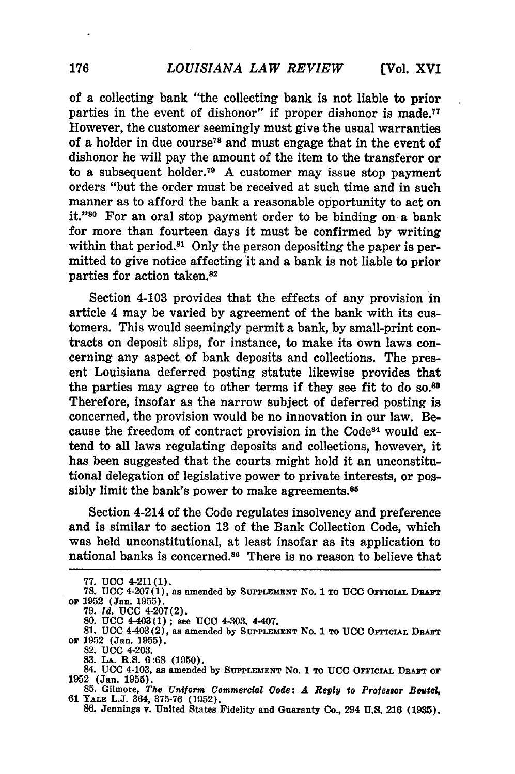of a collecting bank "the collecting bank is not liable to prior parties in the event of dishonor" if proper dishonor is made.<sup>77</sup> However, the customer seemingly must give the usual warranties of a holder in due course78 and must engage that in the event of dishonor he will pay the amount of the item to the transferor or to a subsequent holder.<sup>79</sup> A customer may issue stop payment orders "but the order must be received at such time and in such manner as to afford the bank a reasonable opportunity to act on **it."0** For an oral stop payment order to be binding on a bank for more than fourteen days it must be confirmed by writing within that period.<sup>81</sup> Only the person depositing the paper is permitted to give notice affecting it and a bank is not liable to prior parties for action taken.82

Section 4-103 provides that the effects of any provision in article 4 may be varied by agreement of the bank with its customers. This would seemingly permit a bank, by small-print contracts on deposit slips, for instance, to make its own laws concerning any aspect of bank deposits and collections. The present Louisiana deferred posting statute likewise provides that the parties may agree to other terms if they see fit to do so.<sup>83</sup> Therefore, insofar as the narrow subject of deferred posting is concerned, the provision would be no innovation in our law. Because the freedom of contract provision in the Code84 would **ex**tend to all laws regulating deposits and collections, however, it has been suggested that the courts might hold it an unconstitutional delegation of legislative power to private interests, or possibly limit the bank's power to make agreements. $85$ 

Section 4-214 of the Code regulates insolvency and preference and is similar to section **13** of the Bank Collection Code, which was held unconstitutional, at least insofar as its application to national banks is concerned.<sup>86</sup> There is no reason to believe that

**<sup>77.</sup> UCC** 4-211(1).

**<sup>78.</sup> UCC** 4-207(1), as amended by **SUPPLEMENT No. 1** TO **UCC** OFFICiAL DRAFT or **1952 (Jan. 1955).**

**<sup>79.</sup>** *Id.* **UCC** 4-207(2).

**<sup>80.</sup> UCC** 4-403(1) **;** see **UCC** 4-303, 4-407.

**<sup>81.</sup> UCC** 4-403(2), as amended **by SUPPLEMENT** No. **1 To UCC OrFICIAL DRAFT or 1952** (Jan. **1955).**

<sup>82.</sup> UCC 4-203.<br>83. La. R.S. 6:68 (1950).

<sup>84.</sup> UCC 4-103, as amended by SUPPLEMENT No. 1 TO UCC OFFICIAL DRAFT OF

**<sup>1952</sup>**(Jan. **1955). 85.** Gilmore, *The Uniform Commercial Code: A Reply to Professor Beutel,*

**<sup>61</sup> YALE L.J.** 364, **375-76 (1952). 86.** Jennings v. United States Fidelity and Guaranty Co., 294 **U.S. 216 (1935).**